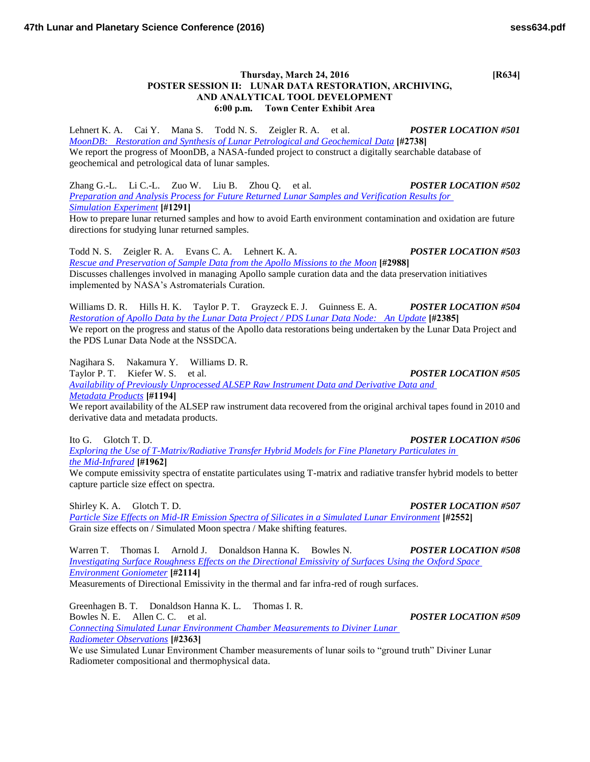## **Thursday, March 24, 2016 [R634] POSTER SESSION II: LUNAR DATA RESTORATION, ARCHIVING, AND ANALYTICAL TOOL DEVELOPMENT 6:00 p.m. Town Center Exhibit Area**

Lehnert K. A. Cai Y. Mana S. Todd N. S. Zeigler R. A. et al. *POSTER LOCATION #501 [MoonDB: Restoration and Synthesis of Lunar Petrological and Geochemical Data](http://www.hou.usra.edu/meetings/lpsc2016/pdf/2738.pdf)* **[#2738]** We report the progress of MoonDB, a NASA-funded project to construct a digitally searchable database of geochemical and petrological data of lunar samples.

Zhang G.-L. Li C.-L. Zuo W. Liu B. Zhou Q. et al. *POSTER LOCATION #502 [Preparation and Analysis Process for Future Returned Lunar Samples and Verification Results for](http://www.hou.usra.edu/meetings/lpsc2016/pdf/1291.pdf)  [Simulation Experiment](http://www.hou.usra.edu/meetings/lpsc2016/pdf/1291.pdf)* **[#1291]**

How to prepare lunar returned samples and how to avoid Earth environment contamination and oxidation are future directions for studying lunar returned samples.

Todd N. S. Zeigler R. A. Evans C. A. Lehnert K. A. *POSTER LOCATION #503 [Rescue and Preservation of Sample Data from the Apollo Missions to the Moon](http://www.hou.usra.edu/meetings/lpsc2016/pdf/2988.pdf)* **[#2988]** Discusses challenges involved in managing Apollo sample curation data and the data preservation initiatives implemented by NASA's Astromaterials Curation.

Williams D. R. Hills H. K. Taylor P. T. Grayzeck E. J. Guinness E. A. *POSTER LOCATION #504 [Restoration of Apollo Data by the Lunar Data Project / PDS Lunar Data Node: An Update](http://www.hou.usra.edu/meetings/lpsc2016/pdf/2385.pdf)* **[#2385]** We report on the progress and status of the Apollo data restorations being undertaken by the Lunar Data Project and the PDS Lunar Data Node at the NSSDCA.

Nagihara S. Nakamura Y. Williams D. R. Taylor P. T. Kiefer W. S. et al. *POSTER LOCATION #505 [Availability of Previously Unprocessed ALSEP Raw Instrument Data and Derivative Data and](http://www.hou.usra.edu/meetings/lpsc2016/pdf/1194.pdf)  [Metadata Products](http://www.hou.usra.edu/meetings/lpsc2016/pdf/1194.pdf)* **[#1194]** We report availability of the ALSEP raw instrument data recovered from the original archival tapes found in 2010 and

derivative data and metadata products.

Ito G. Glotch T. D. *POSTER LOCATION #506 [Exploring the Use of T-Matrix/Radiative Transfer Hybrid Models for Fine Planetary Particulates in](http://www.hou.usra.edu/meetings/lpsc2016/pdf/1962.pdf)  [the Mid-Infrared](http://www.hou.usra.edu/meetings/lpsc2016/pdf/1962.pdf)* **[#1962]**

We compute emissivity spectra of enstatite particulates using T-matrix and radiative transfer hybrid models to better capture particle size effect on spectra.

Shirley K. A. Glotch T. D. *POSTER LOCATION #507 [Particle Size Effects on Mid-IR Emission Spectra of Silicates in a Simulated Lunar Environment](http://www.hou.usra.edu/meetings/lpsc2016/pdf/2552.pdf)* **[#2552]** Grain size effects on / Simulated Moon spectra / Make shifting features.

Warren T. Thomas I. Arnold J. Donaldson Hanna K. Bowles N. *POSTER LOCATION #508 [Investigating Surface Roughness Effects on the Directional Emissivity of Surfaces Using the Oxford Space](http://www.hou.usra.edu/meetings/lpsc2016/pdf/2114.pdf)  [Environment Goniometer](http://www.hou.usra.edu/meetings/lpsc2016/pdf/2114.pdf)* **[#2114]** Measurements of Directional Emissivity in the thermal and far infra-red of rough surfaces.

Greenhagen B. T. Donaldson Hanna K. L. Thomas I. R. Bowles N. E. Allen C. C. et al. *POSTER LOCATION #509 [Connecting Simulated Lunar Environment Chamber Measurements to Diviner Lunar](http://www.hou.usra.edu/meetings/lpsc2016/pdf/2363.pdf)* 

*[Radiometer Observations](http://www.hou.usra.edu/meetings/lpsc2016/pdf/2363.pdf)* **[#2363]**

We use Simulated Lunar Environment Chamber measurements of lunar soils to "ground truth" Diviner Lunar Radiometer compositional and thermophysical data.